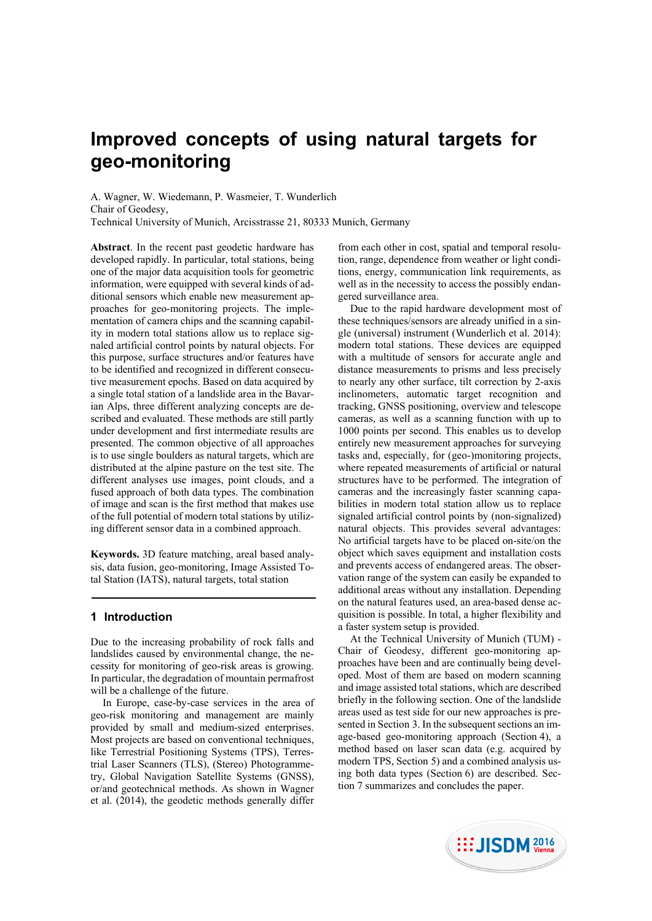# **Improved concepts of using natural targets for geo-monitoring**

A. Wagner, W. Wiedemann, P. Wasmeier, T. Wunderlich Chair of Geodesy, Technical University of Munich, Arcisstrasse 21, 80333 Munich, Germany

**Abstract**. In the recent past geodetic hardware has developed rapidly. In particular, total stations, being one of the major data acquisition tools for geometric information, were equipped with several kinds of additional sensors which enable new measurement approaches for geo-monitoring projects. The implementation of camera chips and the scanning capability in modern total stations allow us to replace signaled artificial control points by natural objects. For this purpose, surface structures and/or features have to be identified and recognized in different consecutive measurement epochs. Based on data acquired by a single total station of a landslide area in the Bavarian Alps, three different analyzing concepts are described and evaluated. These methods are still partly under development and first intermediate results are presented. The common objective of all approaches is to use single boulders as natural targets, which are distributed at the alpine pasture on the test site. The different analyses use images, point clouds, and a fused approach of both data types. The combination of image and scan is the first method that makes use of the full potential of modern total stations by utilizing different sensor data in a combined approach.

**Keywords.** 3D feature matching, areal based analysis, data fusion, geo-monitoring, Image Assisted Total Station (IATS), natural targets, total station

# **1 Introduction**

Due to the increasing probability of rock falls and landslides caused by environmental change, the necessity for monitoring of geo-risk areas is growing. In particular, the degradation of mountain permafrost will be a challenge of the future.

In Europe, case-by-case services in the area of geo-risk monitoring and management are mainly provided by small and medium-sized enterprises. Most projects are based on conventional techniques, like Terrestrial Positioning Systems (TPS), Terrestrial Laser Scanners (TLS), (Stereo) Photogrammetry, Global Navigation Satellite Systems (GNSS), or/and geotechnical methods. As shown in Wagner et al. (2014), the geodetic methods generally differ

from each other in cost, spatial and temporal resolution, range, dependence from weather or light conditions, energy, communication link requirements, as well as in the necessity to access the possibly endangered surveillance area.

Due to the rapid hardware development most of these techniques/sensors are already unified in a single (universal) instrument (Wunderlich et al. 2014): modern total stations. These devices are equipped with a multitude of sensors for accurate angle and distance measurements to prisms and less precisely to nearly any other surface, tilt correction by 2-axis inclinometers, automatic target recognition and tracking, GNSS positioning, overview and telescope cameras, as well as a scanning function with up to 1000 points per second. This enables us to develop entirely new measurement approaches for surveying tasks and, especially, for (geo-)monitoring projects, where repeated measurements of artificial or natural structures have to be performed. The integration of cameras and the increasingly faster scanning capabilities in modern total station allow us to replace signaled artificial control points by (non-signalized) natural objects. This provides several advantages: No artificial targets have to be placed on-site/on the object which saves equipment and installation costs and prevents access of endangered areas. The observation range of the system can easily be expanded to additional areas without any installation. Depending on the natural features used, an area-based dense acquisition is possible. In total, a higher flexibility and a faster system setup is provided.

At the Technical University of Munich (TUM) - Chair of Geodesy, different geo-monitoring approaches have been and are continually being developed. Most of them are based on modern scanning and image assisted total stations, which are described briefly in the following section. One of the landslide areas used as test side for our new approaches is presented in Section 3. In the subsequent sections an image-based geo-monitoring approach (Section 4), a method based on laser scan data (e.g. acquired by modern TPS, Section 5) and a combined analysis using both data types (Section 6) are described. Section 7 summarizes and concludes the paper.

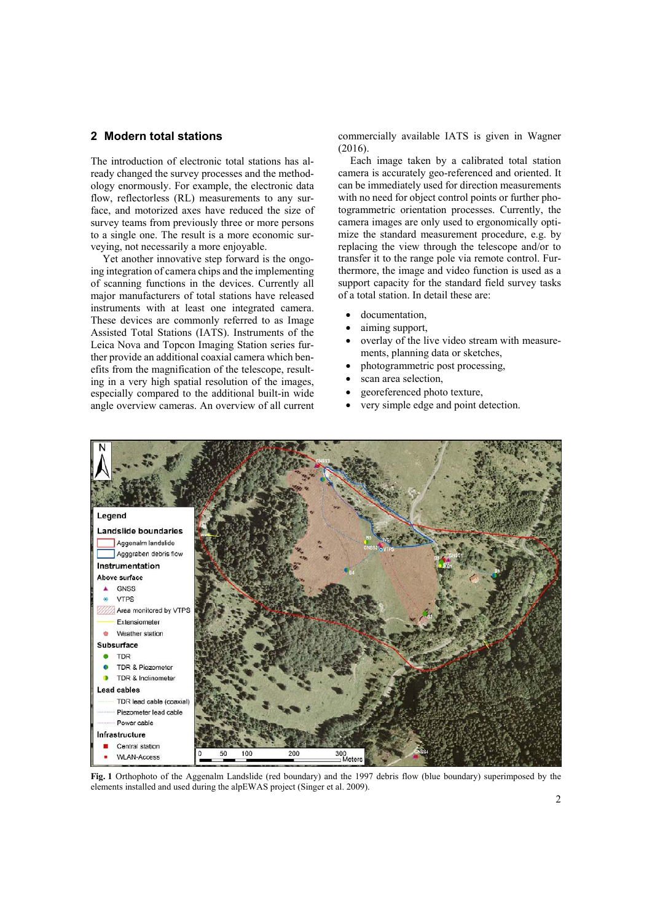# **2 Modern total stations**

The introduction of electronic total stations has already changed the survey processes and the methodology enormously. For example, the electronic data flow, reflectorless (RL) measurements to any surface, and motorized axes have reduced the size of survey teams from previously three or more persons to a single one. The result is a more economic surveying, not necessarily a more enjoyable.

Yet another innovative step forward is the ongoing integration of camera chips and the implementing of scanning functions in the devices. Currently all major manufacturers of total stations have released instruments with at least one integrated camera. These devices are commonly referred to as Image Assisted Total Stations (IATS). Instruments of the Leica Nova and Topcon Imaging Station series further provide an additional coaxial camera which benefits from the magnification of the telescope, resulting in a very high spatial resolution of the images, especially compared to the additional built-in wide angle overview cameras. An overview of all current commercially available IATS is given in Wagner (2016).

Each image taken by a calibrated total station camera is accurately geo-referenced and oriented. It can be immediately used for direction measurements with no need for object control points or further photogrammetric orientation processes. Currently, the camera images are only used to ergonomically optimize the standard measurement procedure, e.g. by replacing the view through the telescope and/or to transfer it to the range pole via remote control. Furthermore, the image and video function is used as a support capacity for the standard field survey tasks of a total station. In detail these are:

- documentation,
- aiming support,
- overlay of the live video stream with measurements, planning data or sketches,
- photogrammetric post processing,
- scan area selection,
- georeferenced photo texture,
- very simple edge and point detection.



**Fig. 1** Orthophoto of the Aggenalm Landslide (red boundary) and the 1997 debris flow (blue boundary) superimposed by the elements installed and used during the alpEWAS project (Singer et al. 2009).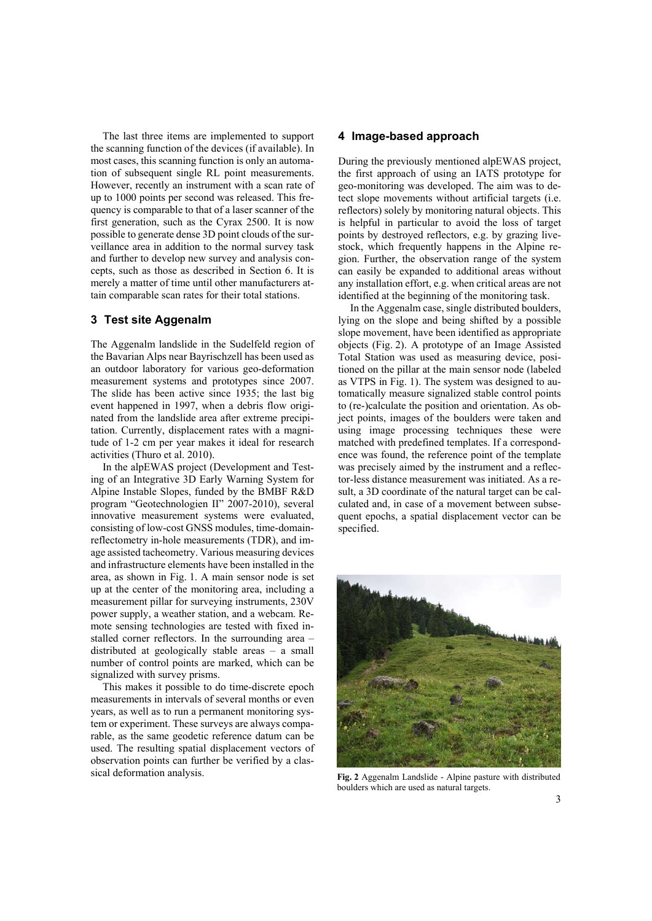The last three items are implemented to support the scanning function of the devices (if available). In most cases, this scanning function is only an automation of subsequent single RL point measurements. However, recently an instrument with a scan rate of up to 1000 points per second was released. This frequency is comparable to that of a laser scanner of the first generation, such as the Cyrax 2500. It is now possible to generate dense 3D point clouds of the surveillance area in addition to the normal survey task and further to develop new survey and analysis concepts, such as those as described in Section 6. It is merely a matter of time until other manufacturers attain comparable scan rates for their total stations.

# **3 Test site Aggenalm**

The Aggenalm landslide in the Sudelfeld region of the Bavarian Alps near Bayrischzell has been used as an outdoor laboratory for various geo-deformation measurement systems and prototypes since 2007. The slide has been active since 1935; the last big event happened in 1997, when a debris flow originated from the landslide area after extreme precipitation. Currently, displacement rates with a magnitude of 1-2 cm per year makes it ideal for research activities (Thuro et al. 2010).

In the alpEWAS project (Development and Testing of an Integrative 3D Early Warning System for Alpine Instable Slopes, funded by the BMBF R&D program "Geotechnologien II" 2007-2010), several innovative measurement systems were evaluated, consisting of low-cost GNSS modules, time-domainreflectometry in-hole measurements (TDR), and image assisted tacheometry. Various measuring devices and infrastructure elements have been installed in the area, as shown in Fig. 1. A main sensor node is set up at the center of the monitoring area, including a measurement pillar for surveying instruments, 230V power supply, a weather station, and a webcam. Remote sensing technologies are tested with fixed installed corner reflectors. In the surrounding area – distributed at geologically stable areas – a small number of control points are marked, which can be signalized with survey prisms.

This makes it possible to do time-discrete epoch measurements in intervals of several months or even years, as well as to run a permanent monitoring system or experiment. These surveys are always comparable, as the same geodetic reference datum can be used. The resulting spatial displacement vectors of observation points can further be verified by a classical deformation analysis.

#### **4 Image-based approach**

During the previously mentioned alpEWAS project, the first approach of using an IATS prototype for geo-monitoring was developed. The aim was to detect slope movements without artificial targets (i.e. reflectors) solely by monitoring natural objects. This is helpful in particular to avoid the loss of target points by destroyed reflectors, e.g. by grazing livestock, which frequently happens in the Alpine region. Further, the observation range of the system can easily be expanded to additional areas without any installation effort, e.g. when critical areas are not identified at the beginning of the monitoring task.

In the Aggenalm case, single distributed boulders, lying on the slope and being shifted by a possible slope movement, have been identified as appropriate objects (Fig. 2). A prototype of an Image Assisted Total Station was used as measuring device, positioned on the pillar at the main sensor node (labeled as VTPS in Fig. 1). The system was designed to automatically measure signalized stable control points to (re-)calculate the position and orientation. As object points, images of the boulders were taken and using image processing techniques these were matched with predefined templates. If a correspondence was found, the reference point of the template was precisely aimed by the instrument and a reflector-less distance measurement was initiated. As a result, a 3D coordinate of the natural target can be calculated and, in case of a movement between subsequent epochs, a spatial displacement vector can be specified.



**Fig. 2** Aggenalm Landslide - Alpine pasture with distributed boulders which are used as natural targets.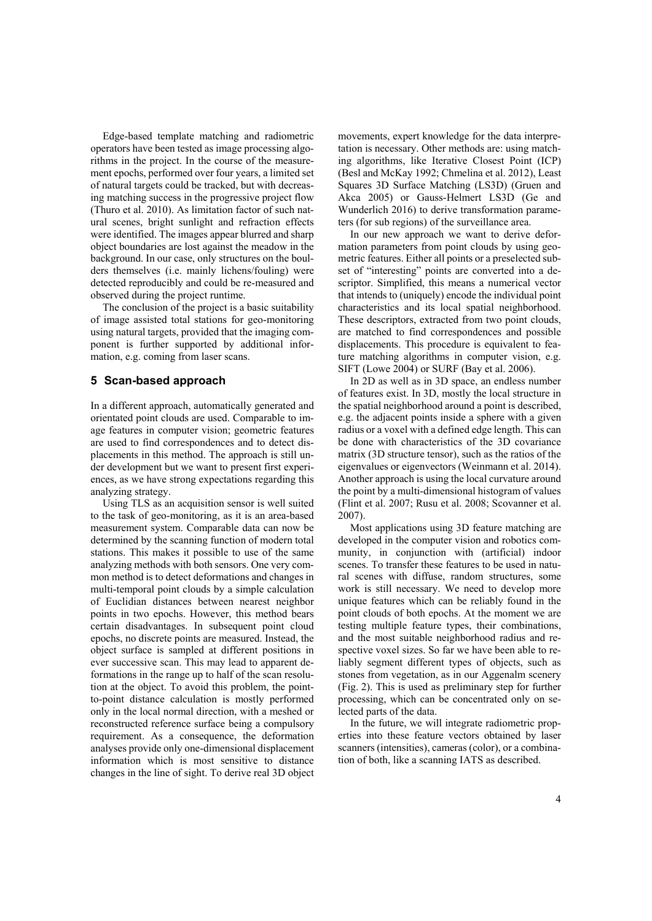Edge-based template matching and radiometric operators have been tested as image processing algorithms in the project. In the course of the measurement epochs, performed over four years, a limited set of natural targets could be tracked, but with decreasing matching success in the progressive project flow (Thuro et al. 2010). As limitation factor of such natural scenes, bright sunlight and refraction effects were identified. The images appear blurred and sharp object boundaries are lost against the meadow in the background. In our case, only structures on the boulders themselves (i.e. mainly lichens/fouling) were detected reproducibly and could be re-measured and observed during the project runtime.

The conclusion of the project is a basic suitability of image assisted total stations for geo-monitoring using natural targets, provided that the imaging component is further supported by additional information, e.g. coming from laser scans.

# **5 Scan-based approach**

In a different approach, automatically generated and orientated point clouds are used. Comparable to image features in computer vision; geometric features are used to find correspondences and to detect displacements in this method. The approach is still under development but we want to present first experiences, as we have strong expectations regarding this analyzing strategy.

Using TLS as an acquisition sensor is well suited to the task of geo-monitoring, as it is an area-based measurement system. Comparable data can now be determined by the scanning function of modern total stations. This makes it possible to use of the same analyzing methods with both sensors. One very common method is to detect deformations and changes in multi-temporal point clouds by a simple calculation of Euclidian distances between nearest neighbor points in two epochs. However, this method bears certain disadvantages. In subsequent point cloud epochs, no discrete points are measured. Instead, the object surface is sampled at different positions in ever successive scan. This may lead to apparent deformations in the range up to half of the scan resolution at the object. To avoid this problem, the pointto-point distance calculation is mostly performed only in the local normal direction, with a meshed or reconstructed reference surface being a compulsory requirement. As a consequence, the deformation analyses provide only one-dimensional displacement information which is most sensitive to distance changes in the line of sight. To derive real 3D object movements, expert knowledge for the data interpretation is necessary. Other methods are: using matching algorithms, like Iterative Closest Point (ICP) (Besl and McKay 1992; Chmelina et al. 2012), Least Squares 3D Surface Matching (LS3D) (Gruen and Akca 2005) or Gauss-Helmert LS3D (Ge and Wunderlich 2016) to derive transformation parameters (for sub regions) of the surveillance area.

In our new approach we want to derive deformation parameters from point clouds by using geometric features. Either all points or a preselected subset of "interesting" points are converted into a descriptor. Simplified, this means a numerical vector that intends to (uniquely) encode the individual point characteristics and its local spatial neighborhood. These descriptors, extracted from two point clouds, are matched to find correspondences and possible displacements. This procedure is equivalent to feature matching algorithms in computer vision, e.g. SIFT (Lowe 2004) or SURF (Bay et al. 2006).

In 2D as well as in 3D space, an endless number of features exist. In 3D, mostly the local structure in the spatial neighborhood around a point is described, e.g. the adjacent points inside a sphere with a given radius or a voxel with a defined edge length. This can be done with characteristics of the 3D covariance matrix (3D structure tensor), such as the ratios of the eigenvalues or eigenvectors (Weinmann et al. 2014). Another approach is using the local curvature around the point by a multi-dimensional histogram of values (Flint et al. 2007; Rusu et al. 2008; Scovanner et al. 2007).

Most applications using 3D feature matching are developed in the computer vision and robotics community, in conjunction with (artificial) indoor scenes. To transfer these features to be used in natural scenes with diffuse, random structures, some work is still necessary. We need to develop more unique features which can be reliably found in the point clouds of both epochs. At the moment we are testing multiple feature types, their combinations, and the most suitable neighborhood radius and respective voxel sizes. So far we have been able to reliably segment different types of objects, such as stones from vegetation, as in our Aggenalm scenery (Fig. 2). This is used as preliminary step for further processing, which can be concentrated only on selected parts of the data.

In the future, we will integrate radiometric properties into these feature vectors obtained by laser scanners (intensities), cameras (color), or a combination of both, like a scanning IATS as described.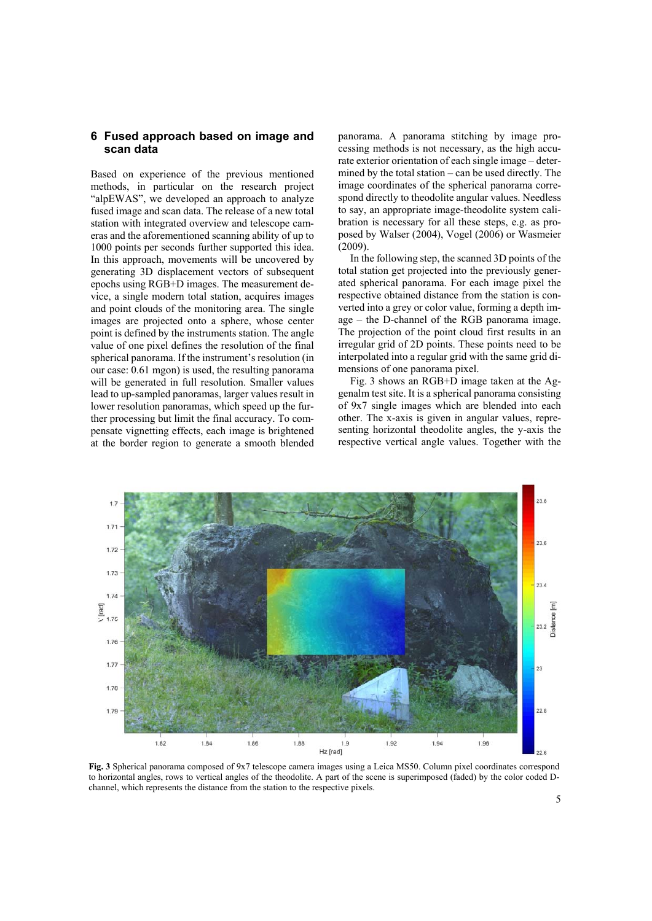# **6 Fused approach based on image and scan data**

Based on experience of the previous mentioned methods, in particular on the research project "alpEWAS", we developed an approach to analyze fused image and scan data. The release of a new total station with integrated overview and telescope cameras and the aforementioned scanning ability of up to 1000 points per seconds further supported this idea. In this approach, movements will be uncovered by generating 3D displacement vectors of subsequent epochs using RGB+D images. The measurement device, a single modern total station, acquires images and point clouds of the monitoring area. The single images are projected onto a sphere, whose center point is defined by the instruments station. The angle value of one pixel defines the resolution of the final spherical panorama. If the instrument's resolution (in our case: 0.61 mgon) is used, the resulting panorama will be generated in full resolution. Smaller values lead to up-sampled panoramas, larger values result in lower resolution panoramas, which speed up the further processing but limit the final accuracy. To compensate vignetting effects, each image is brightened at the border region to generate a smooth blended

panorama. A panorama stitching by image processing methods is not necessary, as the high accurate exterior orientation of each single image – determined by the total station – can be used directly. The image coordinates of the spherical panorama correspond directly to theodolite angular values. Needless to say, an appropriate image-theodolite system calibration is necessary for all these steps, e.g. as proposed by Walser (2004), Vogel (2006) or Wasmeier (2009).

In the following step, the scanned 3D points of the total station get projected into the previously generated spherical panorama. For each image pixel the respective obtained distance from the station is converted into a grey or color value, forming a depth image – the D-channel of the RGB panorama image. The projection of the point cloud first results in an irregular grid of 2D points. These points need to be interpolated into a regular grid with the same grid dimensions of one panorama pixel.

Fig. 3 shows an RGB+D image taken at the Aggenalm test site. It is a spherical panorama consisting of 9x7 single images which are blended into each other. The x-axis is given in angular values, representing horizontal theodolite angles, the y-axis the respective vertical angle values. Together with the



**Fig. 3** Spherical panorama composed of 9x7 telescope camera images using a Leica MS50. Column pixel coordinates correspond to horizontal angles, rows to vertical angles of the theodolite. A part of the scene is superimposed (faded) by the color coded Dchannel, which represents the distance from the station to the respective pixels.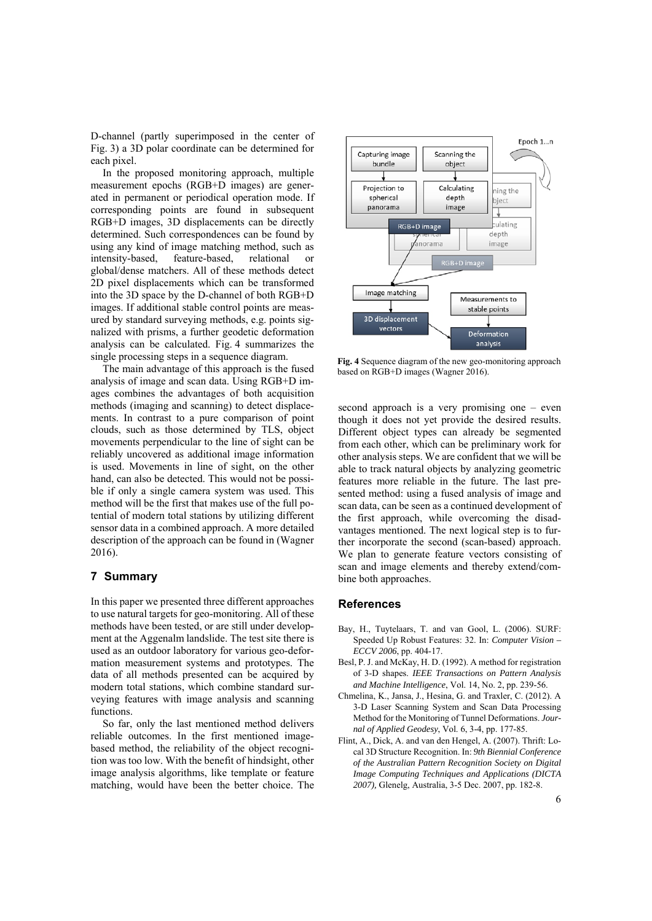D-channel (partly superimposed in the center of Fig. 3) a 3D polar coordinate can be determined for each pixel.

In the proposed monitoring approach, multiple measurement epochs (RGB+D images) are generated in permanent or periodical operation mode. If corresponding points are found in subsequent RGB+D images, 3D displacements can be directly determined. Such correspondences can be found by using any kind of image matching method, such as intensity-based, feature-based, relational or global/dense matchers. All of these methods detect 2D pixel displacements which can be transformed into the 3D space by the D-channel of both RGB+D images. If additional stable control points are measured by standard surveying methods, e.g. points signalized with prisms, a further geodetic deformation analysis can be calculated. Fig. 4 summarizes the single processing steps in a sequence diagram.

The main advantage of this approach is the fused analysis of image and scan data. Using RGB+D images combines the advantages of both acquisition methods (imaging and scanning) to detect displacements. In contrast to a pure comparison of point clouds, such as those determined by TLS, object movements perpendicular to the line of sight can be reliably uncovered as additional image information is used. Movements in line of sight, on the other hand, can also be detected. This would not be possible if only a single camera system was used. This method will be the first that makes use of the full potential of modern total stations by utilizing different sensor data in a combined approach. A more detailed description of the approach can be found in (Wagner 2016).

#### **7 Summary**

In this paper we presented three different approaches to use natural targets for geo-monitoring. All of these methods have been tested, or are still under development at the Aggenalm landslide. The test site there is used as an outdoor laboratory for various geo-deformation measurement systems and prototypes. The data of all methods presented can be acquired by modern total stations, which combine standard surveying features with image analysis and scanning functions.

So far, only the last mentioned method delivers reliable outcomes. In the first mentioned imagebased method, the reliability of the object recognition was too low. With the benefit of hindsight, other image analysis algorithms, like template or feature matching, would have been the better choice. The



**Fig. 4** Sequence diagram of the new geo-monitoring approach based on RGB+D images (Wagner 2016).

second approach is a very promising one – even though it does not yet provide the desired results. Different object types can already be segmented from each other, which can be preliminary work for other analysis steps. We are confident that we will be able to track natural objects by analyzing geometric features more reliable in the future. The last presented method: using a fused analysis of image and scan data, can be seen as a continued development of the first approach, while overcoming the disadvantages mentioned. The next logical step is to further incorporate the second (scan-based) approach. We plan to generate feature vectors consisting of scan and image elements and thereby extend/combine both approaches.

#### **References**

- Bay, H., Tuytelaars, T. and van Gool, L. (2006). SURF: Speeded Up Robust Features: 32. In: *Computer Vision – ECCV 2006*, pp. 404-17.
- Besl, P. J. and McKay, H. D. (1992). A method for registration of 3-D shapes. *IEEE Transactions on Pattern Analysis and Machine Intelligence*, Vol. 14, No. 2, pp. 239-56.
- Chmelina, K., Jansa, J., Hesina, G. and Traxler, C. (2012). A 3-D Laser Scanning System and Scan Data Processing Method for the Monitoring of Tunnel Deformations. *Journal of Applied Geodesy*, Vol. 6, 3-4, pp. 177-85.
- Flint, A., Dick, A. and van den Hengel, A. (2007). Thrift: Local 3D Structure Recognition. In: *9th Biennial Conference of the Australian Pattern Recognition Society on Digital Image Computing Techniques and Applications (DICTA 2007),* Glenelg, Australia, 3-5 Dec. 2007, pp. 182-8.